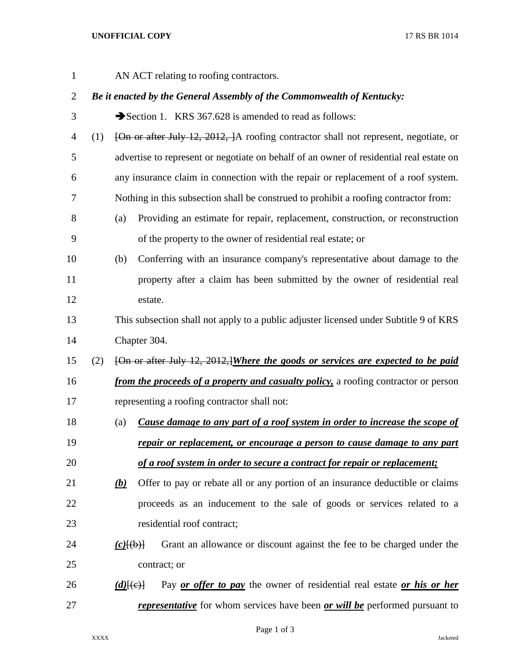## **UNOFFICIAL COPY** 17 RS BR 1014

AN ACT relating to roofing contractors.

## *Be it enacted by the General Assembly of the Commonwealth of Kentucky:*

3 Section 1. KRS 367.628 is amended to read as follows:

- (1) [On or after July 12, 2012, ]A roofing contractor shall not represent, negotiate, or advertise to represent or negotiate on behalf of an owner of residential real estate on any insurance claim in connection with the repair or replacement of a roof system. Nothing in this subsection shall be construed to prohibit a roofing contractor from:
- (a) Providing an estimate for repair, replacement, construction, or reconstruction of the property to the owner of residential real estate; or
- (b) Conferring with an insurance company's representative about damage to the property after a claim has been submitted by the owner of residential real estate.
- This subsection shall not apply to a public adjuster licensed under Subtitle 9 of KRS Chapter 304.
- (2) [On or after July 12, 2012,]*Where the goods or services are expected to be paid*
- *from the proceeds of a property and casualty policy,* a roofing contractor or person representing a roofing contractor shall not:
- (a) *Cause damage to any part of a roof system in order to increase the scope of repair or replacement, or encourage a person to cause damage to any part of a roof system in order to secure a contract for repair or replacement;*
- *(b)* Offer to pay or rebate all or any portion of an insurance deductible or claims proceeds as an inducement to the sale of goods or services related to a 23 residential roof contract:
- *(c)*[(b)] Grant an allowance or discount against the fee to be charged under the contract; or
- *(d)*[(c)] Pay *or offer to pay* the owner of residential real estate *or his or her representative* for whom services have been *or will be* performed pursuant to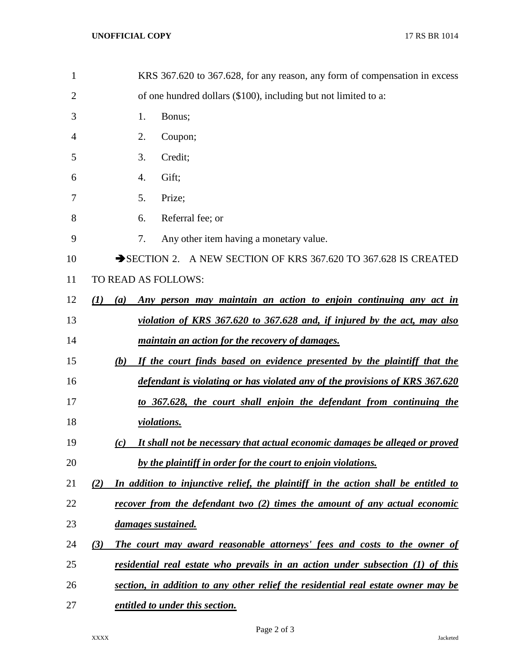| $\mathbf{1}$ | KRS 367.620 to 367.628, for any reason, any form of compensation in excess                |
|--------------|-------------------------------------------------------------------------------------------|
| 2            | of one hundred dollars (\$100), including but not limited to a:                           |
| 3            | Bonus;<br>1.                                                                              |
| 4            | Coupon;<br>2.                                                                             |
| 5            | Credit;<br>3.                                                                             |
| 6            | Gift;<br>4.                                                                               |
| 7            | Prize;<br>5.                                                                              |
| 8            | Referral fee; or<br>6.                                                                    |
| 9            | 7.<br>Any other item having a monetary value.                                             |
| 10           | SECTION 2. A NEW SECTION OF KRS 367.620 TO 367.628 IS CREATED                             |
| 11           | TO READ AS FOLLOWS:                                                                       |
| 12           | Any person may maintain an action to enjoin continuing any act in<br>(I)<br>(a)           |
| 13           | violation of KRS 367.620 to 367.628 and, if injured by the act, may also                  |
| 14           | <i>maintain an action for the recovery of damages.</i>                                    |
| 15           | If the court finds based on evidence presented by the plaintiff that the<br>(b)           |
| 16           | defendant is violating or has violated any of the provisions of KRS 367.620               |
| 17           | to 367.628, the court shall enjoin the defendant from continuing the                      |
| 18           | <i>violations.</i>                                                                        |
| 19           | It shall not be necessary that actual economic damages be alleged or proved<br>(c)        |
| 20           | by the plaintiff in order for the court to enjoin violations.                             |
| 21           | In addition to injunctive relief, the plaintiff in the action shall be entitled to<br>(2) |
| 22           | recover from the defendant two (2) times the amount of any actual economic                |
| 23           | damages sustained.                                                                        |
| 24           | The court may award reasonable attorneys' fees and costs to the owner of<br>(3)           |
| 25           | residential real estate who prevails in an action under subsection (1) of this            |
| 26           | section, in addition to any other relief the residential real estate owner may be         |
| 27           | <i>entitled to under this section.</i>                                                    |